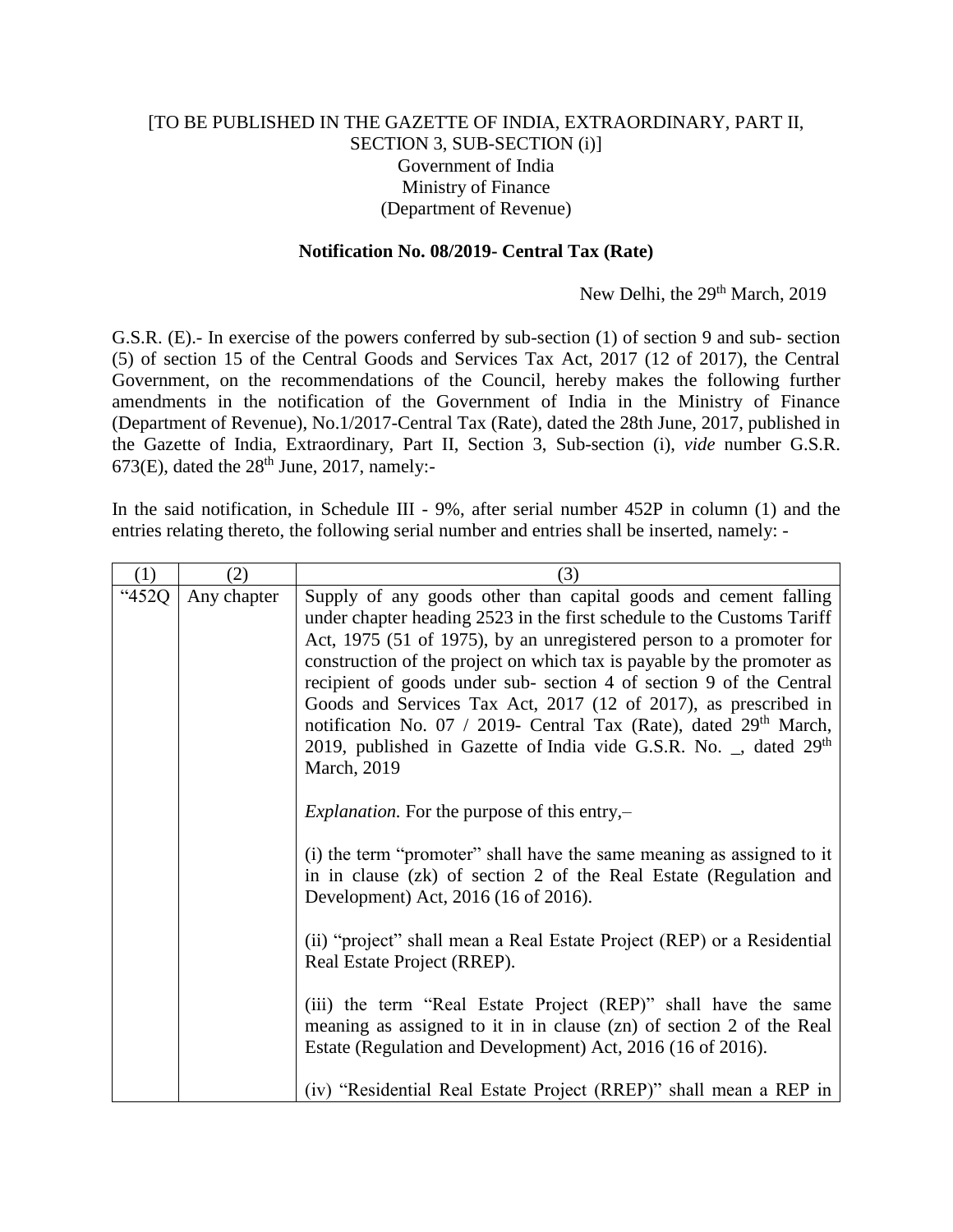## [TO BE PUBLISHED IN THE GAZETTE OF INDIA, EXTRAORDINARY, PART II, SECTION 3, SUB-SECTION (i)] Government of India Ministry of Finance (Department of Revenue)

## **Notification No. 08/2019- Central Tax (Rate)**

## New Delhi, the 29<sup>th</sup> March, 2019

G.S.R. (E).- In exercise of the powers conferred by sub-section (1) of section 9 and sub- section (5) of section 15 of the Central Goods and Services Tax Act, 2017 (12 of 2017), the Central Government, on the recommendations of the Council, hereby makes the following further amendments in the notification of the Government of India in the Ministry of Finance (Department of Revenue), No.1/2017-Central Tax (Rate), dated the 28th June, 2017, published in the Gazette of India, Extraordinary, Part II, Section 3, Sub-section (i), *vide* number G.S.R. 673(E), dated the  $28<sup>th</sup>$  June, 2017, namely:-

In the said notification, in Schedule III - 9%, after serial number 452P in column (1) and the entries relating thereto, the following serial number and entries shall be inserted, namely: -

| (1)      | (2)         | (3)                                                                                                                                                                                                                                                                                                                                                                                                                                                                                                                                                                                                                                |
|----------|-------------|------------------------------------------------------------------------------------------------------------------------------------------------------------------------------------------------------------------------------------------------------------------------------------------------------------------------------------------------------------------------------------------------------------------------------------------------------------------------------------------------------------------------------------------------------------------------------------------------------------------------------------|
| " $452Q$ | Any chapter | Supply of any goods other than capital goods and cement falling<br>under chapter heading 2523 in the first schedule to the Customs Tariff<br>Act, 1975 (51 of 1975), by an unregistered person to a promoter for<br>construction of the project on which tax is payable by the promoter as<br>recipient of goods under sub-section 4 of section 9 of the Central<br>Goods and Services Tax Act, 2017 (12 of 2017), as prescribed in<br>notification No. 07 / 2019- Central Tax (Rate), dated 29 <sup>th</sup> March,<br>2019, published in Gazette of India vide G.S.R. No. $\overline{a}$ , dated 29 <sup>th</sup><br>March, 2019 |
|          |             | <i>Explanation.</i> For the purpose of this entry, $-$                                                                                                                                                                                                                                                                                                                                                                                                                                                                                                                                                                             |
|          |             | (i) the term "promoter" shall have the same meaning as assigned to it<br>in in clause (zk) of section 2 of the Real Estate (Regulation and<br>Development) Act, 2016 (16 of 2016).                                                                                                                                                                                                                                                                                                                                                                                                                                                 |
|          |             | (ii) "project" shall mean a Real Estate Project (REP) or a Residential<br>Real Estate Project (RREP).                                                                                                                                                                                                                                                                                                                                                                                                                                                                                                                              |
|          |             | (iii) the term "Real Estate Project (REP)" shall have the same<br>meaning as assigned to it in in clause (zn) of section 2 of the Real<br>Estate (Regulation and Development) Act, 2016 (16 of 2016).                                                                                                                                                                                                                                                                                                                                                                                                                              |
|          |             | (iv) "Residential Real Estate Project (RREP)" shall mean a REP in                                                                                                                                                                                                                                                                                                                                                                                                                                                                                                                                                                  |